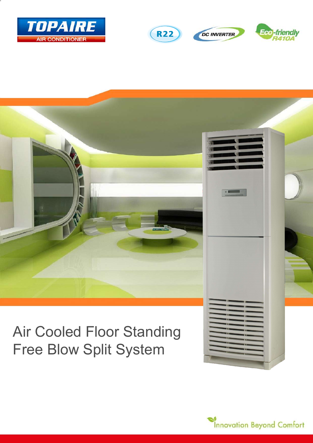





# Air Cooled Floor Standing Free Blow Split System

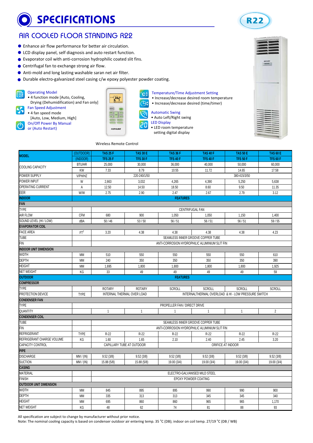## **SPECIFICATIONS**



### AIR COOLED FLOOR STANDING R22

- Enhance air flow performance for better air circulation.
- LCD display panel, self diagnosis and auto restart function.
- Evaporator coil with anti-corrosion hydrophilic coated slit fins.
- Centrifugal fan to exchange strong air flow.
- Anti-mold and long lasting washable saran net air filter.
- Durable electro-galvanized steel casing c/w epoxy polyester powder coating.

Operating Model • 4 function mode [Auto, Cooling,

Drying (Dehumidification) and Fan only]

- Fan Speed Adjustment • 4 fan speed mode
- [Auto, Low, Medium, High]
- On/Off Power By Manual or (Auto Restart)

|             | বৈ |
|-------------|----|
| <b>AIRE</b> | 20 |
|             |    |

#### Temperature/Time Adjustment Setting

- Increase/decrease desired room temperature
- Increase/decrease desired (time/timer)
- Automatic Swing



LED Display

- LED room temperature
- setting digital display



#### Wireless Remote Control

ţ

ikis.  $\Box$ 

TOI

| <b>MODEL</b>                     | (OUTDOOR)                                                                                        | <b>TAS 25 F</b>              | <b>TAS 30 E</b>           | <b>TAS 36 F</b>              | <b>TAS 40 F</b>                               | <b>TAS 50 E</b>   | <b>TAS 60 E</b>     |  |  |
|----------------------------------|--------------------------------------------------------------------------------------------------|------------------------------|---------------------------|------------------------------|-----------------------------------------------|-------------------|---------------------|--|--|
|                                  | (INDOOR)                                                                                         | <b>TFS 25 F</b>              | <b>TFS 30 F</b>           | <b>TFS 40 F</b>              | <b>TFS 40 F</b>                               | <b>TFS 50 F</b>   | TFS <sub>60</sub> F |  |  |
| COOLING CAPACITY                 | <b>BTU/HR</b>                                                                                    | 25,000                       | 30,000                    | 36,000                       | 40,000                                        | 50,000            | 60,000              |  |  |
|                                  | KW                                                                                               | 7.33                         | 8.79                      | 10.55                        | 11.72                                         | 14.65             | 17.58               |  |  |
| POWER SUPPLY                     | V/PH/HZ                                                                                          | 380-415/3/50<br>220-240/1/50 |                           |                              |                                               |                   |                     |  |  |
| POWER INPUT                      | W                                                                                                | 2,663                        | 3,032                     | 4,265                        | 4,390                                         | 5,250             | 5,638               |  |  |
| OPERATING CURRENT                | $\mathsf A$                                                                                      | 12.50                        | 14.50                     | 18.50                        | 8.60                                          | 9.50              | 11.35               |  |  |
| EER                              | W/W                                                                                              | 2.75                         | 2.90                      | 2.47                         | 2.67                                          | 2.79              | 3.12                |  |  |
| <b>FEATURES</b><br><b>INDOOR</b> |                                                                                                  |                              |                           |                              |                                               |                   |                     |  |  |
| <b>FAN</b>                       |                                                                                                  |                              |                           |                              |                                               |                   |                     |  |  |
| <b>TYPE</b>                      |                                                                                                  |                              |                           |                              | CENTRIFUGAL FAN                               |                   |                     |  |  |
| AIR FLOW                         | <b>CFM</b>                                                                                       | 680                          | 900                       | 1,050                        | 1,050                                         | 1,150             | 1,400               |  |  |
| SOUND LEVEL (HI / LOW)           | dBA                                                                                              | 50/46                        | 53/50                     | 56/51                        | 56/51                                         | 56/51             | 59/55               |  |  |
| <b>EVAPORATOR COIL</b>           |                                                                                                  |                              |                           |                              |                                               |                   |                     |  |  |
| <b>FACE AREA</b>                 | FT <sup>2</sup>                                                                                  | 3.20                         | 4.38                      | 4.38                         | 4.38                                          | 4.38              | 4.23                |  |  |
| <b>TUBE</b>                      |                                                                                                  |                              |                           |                              | SEAMLESS INNER GROOVE COPPER TUBE             |                   |                     |  |  |
| FIN                              |                                                                                                  |                              |                           |                              | ANTI-CORROSION HYDROPHILIC ALUMINIUM SLIT FIN |                   |                     |  |  |
| <b>INDOOR UNIT DIMENSION</b>     |                                                                                                  |                              |                           |                              |                                               |                   |                     |  |  |
| WIDTH                            | <b>MM</b>                                                                                        | 510                          | 550                       | 550                          | 550                                           | 550               | 610                 |  |  |
| DEPTH                            | <b>MM</b>                                                                                        | 240                          | 350                       | 350                          | 350                                           | 350               | 390                 |  |  |
| <b>HEIGHT</b>                    | MM                                                                                               | 1,695                        | 1,800                     | 1,800                        | 1,800                                         | 1,800             | 1,925               |  |  |
| <b>NET WEIGHT</b>                | KG                                                                                               | 33                           | 49                        | 49                           | 49                                            | 49                | 59                  |  |  |
| <b>OUTDOOR</b>                   | <b>FEATURES</b>                                                                                  |                              |                           |                              |                                               |                   |                     |  |  |
| <b>COMPRESSOR</b>                |                                                                                                  |                              |                           |                              |                                               |                   |                     |  |  |
| <b>TYPE</b>                      |                                                                                                  | <b>ROTARY</b>                | <b>ROTARY</b>             | <b>SCROLL</b>                | <b>SCROLL</b>                                 | <b>SCROLL</b>     | <b>SCROLL</b>       |  |  |
| PROTECTION DEVICE                | INTERNAL THERMAL OVER LOAD<br>INTERNALTHERMAL OVERLOAD & HI - LOW PRESSURE SWITCH<br><b>TYPE</b> |                              |                           |                              |                                               |                   |                     |  |  |
| <b>CONDENSER FAN</b>             |                                                                                                  |                              |                           |                              |                                               |                   |                     |  |  |
| <b>TYPE</b>                      |                                                                                                  |                              |                           | PROPELLER FAN / DIRECT DRIVE |                                               |                   |                     |  |  |
| QUANTITY                         |                                                                                                  | $\mathbf{1}$                 | $\mathbf{1}$              | $\mathbf{1}$                 | $\overline{1}$                                | 1                 | $\overline{2}$      |  |  |
| <b>CONDENSER COIL</b>            |                                                                                                  |                              |                           |                              |                                               |                   |                     |  |  |
| <b>TUBE</b>                      | SEAMLESS INNER GROOVE COPPER TUBE                                                                |                              |                           |                              |                                               |                   |                     |  |  |
| FIN                              |                                                                                                  |                              |                           |                              | ANTI-CORROSION HYDROPHILIC ALUMINIUM SLIT FIN |                   |                     |  |  |
| REFRIGERANT                      | <b>TYPE</b>                                                                                      | R-22                         | $R-22$                    | R-22                         | $R-22$                                        | $R-22$            | R-22                |  |  |
| REFRIGERANT CHARGE VOLUME        | KG                                                                                               | 1.60                         | 1.65                      | 2.10                         | 2.40                                          | 2.45              | 3.20                |  |  |
| CAPACITY CONTROL                 |                                                                                                  |                              | CAPILLARY TUBE AT OUTDOOR |                              |                                               | ORIFICE AT INDOOR |                     |  |  |
| <b>PIPE</b>                      |                                                                                                  |                              |                           |                              |                                               |                   |                     |  |  |
| <b>DISCHARGE</b>                 | MM / (IN)                                                                                        | 9.52(3/8)                    | 9.52(3/8)                 | 9.52(3/8)                    | 9.52(3/8)                                     | 9.52(3/8)         | 9.52(3/8)           |  |  |
| <b>SUCTION</b>                   | MM / (IN)                                                                                        | 15.88 (5/8)                  | 15.88 (5/8)               | 19.00 (3/4)                  | 19.00 (3/4)                                   | 19.00 (3/4)       | 19.00 (3/4)         |  |  |
| <b>CASING</b>                    |                                                                                                  |                              |                           |                              |                                               |                   |                     |  |  |
| <b>MATERIAL</b>                  | ELECTRO-GALVANISED MILD STEEL                                                                    |                              |                           |                              |                                               |                   |                     |  |  |
| <b>FINISH</b>                    | EPOXY POWDER COATING                                                                             |                              |                           |                              |                                               |                   |                     |  |  |
| <b>OUTDOOR UNIT DIMENSION</b>    |                                                                                                  |                              |                           |                              |                                               |                   |                     |  |  |
| <b>WIDTH</b>                     | <b>MM</b>                                                                                        | 845                          | 895                       | 895                          | 990                                           | 990               | 900                 |  |  |
| <b>DEPTH</b>                     | <b>MM</b>                                                                                        | 335                          | 313                       | 313                          | 345                                           | 345               | 340                 |  |  |
| <b>HEIGHT</b>                    | <b>MM</b>                                                                                        | 695                          | 860                       | 860                          | 965                                           | 965               | 1,170               |  |  |
| <b>NET WEIGHT</b>                | KG                                                                                               | 48                           | 62                        | 74                           | 81                                            | 88                | 93                  |  |  |
|                                  |                                                                                                  |                              |                           |                              |                                               |                   |                     |  |  |

All specification are subject to change by manufacturer without prior notice.

Note: The nominal cooling capacity is based on condenser outdoor air entering temp. 35 °C (DB); indoor on coil temp. 27/19 °C (DB / WB)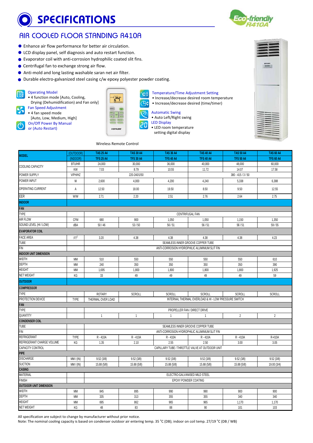### SPECIFICATIONS



### AIR COOLED FLOOR STANDING R410A

- Enhance air flow performance for better air circulation.
- LCD display panel, self diagnosis and auto restart function.
- Evaporator coil with anti-corrosion hydrophilic coated slit fins.
- Centrifugal fan to exchange strong air flow.
- Anti-mold and long lasting washable saran net air filter.
- Durable electro-galvanized steel casing c/w epoxy polyester powder coating.

#### Operating Model

• 4 function mode [Auto, Cooling,

Drying (Dehumidification) and Fan only] Fan Speed Adjustment

- 4 fan speed mode
- [Auto, Low, Medium, High] On/Off Power By Manual or (Auto Restart)

| Ï          |           |
|------------|-----------|
|            |           |
|            | $\bar{z}$ |
| <b>IRE</b> | 20        |
|            |           |

#### Temperature/Time Adjustment Setting

• Increase/decrease desired room temperature

- Increase/decrease desired (time/timer)
- Automatic Swing



LED Display

- LED room temperature setting digital display
- 



#### Wireless Remote Control

ʻ.

 $\Box$ 

TOP

| <b>MODEL</b>                     | (OUTDOOR)       | <b>TAS 25 A4</b>                                      | <b>TAS 30 A4</b> | <b>TAS 36 A4</b>                                | <b>TAS 40 A4</b>                                     | <b>TAS 50 A4</b>     | <b>TAS 60 A4</b> |  |
|----------------------------------|-----------------|-------------------------------------------------------|------------------|-------------------------------------------------|------------------------------------------------------|----------------------|------------------|--|
|                                  | (INDOOR)        | <b>TFS 25 A4</b>                                      | <b>TFS 30 A4</b> | <b>TFS 40 A4</b>                                | <b>TFS 40 A4</b>                                     | <b>TFS 50 A4</b>     | <b>TFS 60 A4</b> |  |
| COOLING CAPACITY                 | <b>BTU/HR</b>   | 24,000                                                | 30,000           | 36,000                                          | 40,000                                               | 48,000               | 60,000           |  |
|                                  | KW              | 7.03                                                  | 8.79             | 10.55                                           | 11.72                                                | 14.07                | 17.58            |  |
| POWER SUPPLY                     | V/PH/HZ         |                                                       | 220-240/1/50     |                                                 |                                                      | $380 - 415 / 3 / 50$ |                  |  |
| POWER INPUT                      | W               | 2,600                                                 | 4.000            | 4,200                                           | 4,240                                                | 5,338                | 6,388            |  |
| OPERATING CURRENT                | A               | 12.50                                                 | 18.00            | 19.50                                           | 8.50                                                 | 9.50                 | 12.55            |  |
| EER                              | <b>W/W</b>      | 2.71                                                  | 2.20             | 2.51                                            | 2.76                                                 | 2.64                 | 2.75             |  |
| <b>INDOOR</b>                    |                 |                                                       |                  |                                                 |                                                      |                      |                  |  |
| FAN                              |                 |                                                       |                  |                                                 |                                                      |                      |                  |  |
| <b>TYPE</b>                      |                 |                                                       |                  | CENTRIFUGAL FAN                                 |                                                      |                      |                  |  |
| <b>AIR FLOW</b>                  | <b>CFM</b>      | 680                                                   | 900              | 1,050                                           | 1,050                                                | 1,150                | 1,350            |  |
| SOUND LEVEL (HI / LOW)           | dBA             | 50/46                                                 | 53/50            | 56/51                                           | 56/51                                                | 56/51                | 59/55            |  |
| <b>EVAPORATOR COIL</b>           |                 |                                                       |                  |                                                 |                                                      |                      |                  |  |
| FACE AREA                        | FT <sup>2</sup> | 3.20                                                  | 4.38             | 4.38                                            | 4.38                                                 | 4.38                 | 4.23             |  |
| <b>TUBE</b>                      |                 |                                                       |                  | SEAMLESS INNER GROOVE COPPER TUBE               |                                                      |                      |                  |  |
| <b>FIN</b>                       |                 |                                                       |                  | ANTI-CORROSION HYDROPHILIC ALUMINIUM SLIT FIN   |                                                      |                      |                  |  |
| <b>INDOOR UNIT DIMENSION</b>     |                 |                                                       |                  |                                                 |                                                      |                      |                  |  |
| <b>WIDTH</b>                     | MM              | 510                                                   | 550              | 550                                             | 550                                                  | 550                  | 610              |  |
| <b>DEPTH</b>                     | <b>MM</b>       | 240                                                   | 350              | 350                                             | 350                                                  | 350                  | 390              |  |
| <b>HEIGHT</b>                    | <b>MM</b>       | 1,695                                                 | 1,800            | 1,800                                           | 1,800                                                | 1,800                | 1,925            |  |
| <b>NET WEIGHT</b>                | KG              | 33                                                    | 49               | 49                                              | 49                                                   | 49                   | 59               |  |
| <b>OUTDOOR</b>                   |                 |                                                       |                  |                                                 |                                                      |                      |                  |  |
| <b>COMPRESSOR</b>                |                 |                                                       |                  |                                                 |                                                      |                      |                  |  |
| <b>TYPE</b>                      |                 | <b>ROTARY</b>                                         | SCROLL           | <b>SCROLL</b>                                   | <b>SCROLL</b>                                        | <b>SCROLL</b>        | <b>SCROLL</b>    |  |
| PROTECTION DEVICE                | <b>TYPE</b>     | THERMAL OVER LOAD                                     |                  |                                                 | INTERNAL THERMAL OVERLOAD & HI - LOW PRESSURE SWITCH |                      |                  |  |
| FAN                              |                 |                                                       |                  |                                                 |                                                      |                      |                  |  |
| <b>TYPE</b>                      |                 |                                                       |                  | PROPELLER FAN / DIRECT DRIVE                    |                                                      |                      |                  |  |
| QUANTITY                         |                 | $\mathbf{1}$                                          | $\mathbf{1}$     | $\mathbf{1}$                                    | $\overline{1}$                                       | $\overline{2}$       | $\overline{2}$   |  |
| <b>CONDENSER COIL</b>            |                 |                                                       |                  |                                                 |                                                      |                      |                  |  |
| <b>TUBE</b>                      |                 |                                                       |                  | SEAMLESS INNER GROOVE COPPER TUBE               |                                                      |                      |                  |  |
| FIN                              |                 |                                                       |                  | ANTI-CORROSION HYDROPHILIC ALUMINIUM SLIT FIN   |                                                      |                      |                  |  |
| <b>REFRIGERANT</b>               | <b>TYPE</b>     | R-410A                                                | R-410A           | R-410A                                          | R-410A                                               | R-410A               | R-410A           |  |
| REFRIGERANT CHARGE VOLUME        | KG              | 1.35                                                  | 2.10             | 2.55                                            | 2.50                                                 | 3.00                 | 3.05             |  |
| CAPACITY CONTROL                 |                 |                                                       |                  | CAPILLARY TUBE / THROTTLE VALVE AT OUTDOOR UNIT |                                                      |                      |                  |  |
| <b>PIPE</b>                      |                 |                                                       |                  |                                                 |                                                      |                      |                  |  |
| <b>DISCHARGE</b>                 | MM/ (IN)        | 9.52(3/8)                                             | 9.52(3/8)        | 9.52(3/8)                                       | 9.52(3/8)                                            | 9.52(3/8)            | 9.52(3/8)        |  |
| <b>SUCTION</b>                   | MM/ (IN)        | 15.88 (5/8)                                           | 15.88 (5/8)      | 15.88 (5/8)                                     | 15.88 (5/8)                                          | 15.88 (5/8)          | 19.00 (3/4)      |  |
| <b>CASING</b><br><b>MATERIAL</b> |                 |                                                       |                  |                                                 |                                                      |                      |                  |  |
| <b>FINISH</b>                    |                 | ELECTRO-GALVANISED MILD STEEL<br>EPOXY POWDER COATING |                  |                                                 |                                                      |                      |                  |  |
| <b>OUTDOOR UNIT DIMENSION</b>    |                 |                                                       |                  |                                                 |                                                      |                      |                  |  |
| <b>WIDTH</b>                     | <b>MM</b>       | 845                                                   | 895              | 990                                             | 990                                                  | 900                  | 900              |  |
| <b>DEPTH</b>                     | MM              | 335                                                   | 313              | 355                                             | 355                                                  | 340                  | 340              |  |
| <b>HEIGHT</b>                    | MM              | 695                                                   | 862              | 965                                             | 965                                                  | 1,170                | 1,170            |  |
| <b>NET WEIGHT</b>                | KG              | 48                                                    | 83               | 88                                              | $90\,$                                               | 101                  | 103              |  |
|                                  |                 |                                                       |                  |                                                 |                                                      |                      |                  |  |

All specification are subject to change by manufacturer without prior notice.

Note: The nominal cooling capacity is based on condenser outdoor air entering temp. 35 °C (DB); indoor on coil temp. 27/19 °C (DB / WB)